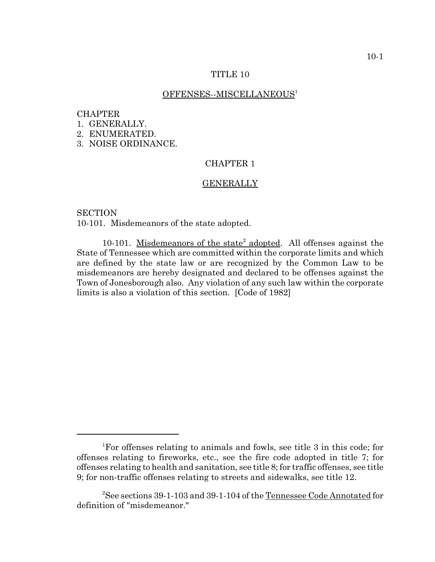## TITLE 10

### OFFENSES--MISCELLANEOUS<sup>1</sup>

### CHAPTER

1. GENERALLY.

2. ENUMERATED.

3. NOISE ORDINANCE.

# CHAPTER 1

#### **GENERALLY**

**SECTION** 

10-101. Misdemeanors of the state adopted.

10-101. Misdemeanors of the state<sup>2</sup> adopted. All offenses against the State of Tennessee which are committed within the corporate limits and which are defined by the state law or are recognized by the Common Law to be misdemeanors are hereby designated and declared to be offenses against the Town of Jonesborough also. Any violation of any such law within the corporate limits is also a violation of this section. [Code of 1982]

<sup>1</sup> For offenses relating to animals and fowls, see title 3 in this code; for offenses relating to fireworks, etc., see the fire code adopted in title 7; for offenses relating to health and sanitation, see title 8; for traffic offenses, see title 9; for non-traffic offenses relating to streets and sidewalks, see title 12.

<sup>&</sup>lt;sup>2</sup>See sections 39-1-103 and 39-1-104 of the <u>Tennessee Code Annotated</u> for definition of "misdemeanor."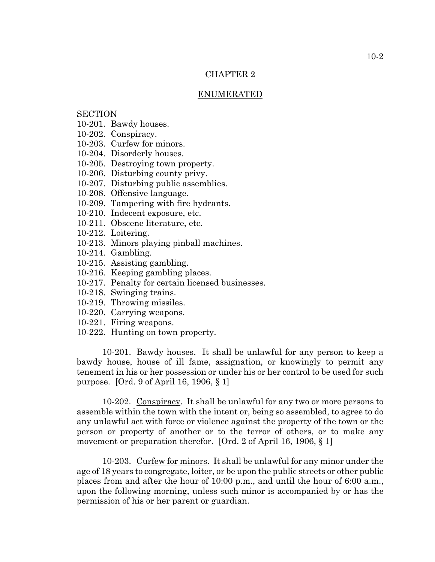# CHAPTER 2

#### ENUMERATED

# **SECTION**

- 10-201. Bawdy houses.
- 10-202. Conspiracy.
- 10-203. Curfew for minors.
- 10-204. Disorderly houses.
- 10-205. Destroying town property.
- 10-206. Disturbing county privy.
- 10-207. Disturbing public assemblies.
- 10-208. Offensive language.
- 10-209. Tampering with fire hydrants.
- 10-210. Indecent exposure, etc.
- 10-211. Obscene literature, etc.
- 10-212. Loitering.
- 10-213. Minors playing pinball machines.
- 10-214. Gambling.
- 10-215. Assisting gambling.
- 10-216. Keeping gambling places.
- 10-217. Penalty for certain licensed businesses.
- 10-218. Swinging trains.
- 10-219. Throwing missiles.
- 10-220. Carrying weapons.
- 10-221. Firing weapons.
- 10-222. Hunting on town property.

10-201. Bawdy houses. It shall be unlawful for any person to keep a bawdy house, house of ill fame, assignation, or knowingly to permit any tenement in his or her possession or under his or her control to be used for such purpose. [Ord. 9 of April 16, 1906, § 1]

10-202. Conspiracy. It shall be unlawful for any two or more persons to assemble within the town with the intent or, being so assembled, to agree to do any unlawful act with force or violence against the property of the town or the person or property of another or to the terror of others, or to make any movement or preparation therefor. [Ord. 2 of April 16, 1906, § 1]

10-203. Curfew for minors. It shall be unlawful for any minor under the age of 18 years to congregate, loiter, or be upon the public streets or other public places from and after the hour of 10:00 p.m., and until the hour of 6:00 a.m., upon the following morning, unless such minor is accompanied by or has the permission of his or her parent or guardian.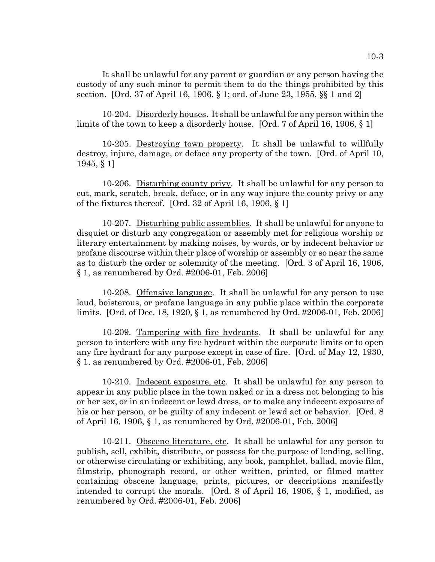It shall be unlawful for any parent or guardian or any person having the custody of any such minor to permit them to do the things prohibited by this section. [Ord. 37 of April 16, 1906, § 1; ord. of June 23, 1955, §§ 1 and 2]

10-204. Disorderly houses. It shall be unlawful for any person within the limits of the town to keep a disorderly house. [Ord. 7 of April 16, 1906, § 1]

10-205. Destroying town property. It shall be unlawful to willfully destroy, injure, damage, or deface any property of the town. [Ord. of April 10, 1945, § 1]

10-206. Disturbing county privy. It shall be unlawful for any person to cut, mark, scratch, break, deface, or in any way injure the county privy or any of the fixtures thereof. [Ord. 32 of April 16, 1906, § 1]

10-207. Disturbing public assemblies. It shall be unlawful for anyone to disquiet or disturb any congregation or assembly met for religious worship or literary entertainment by making noises, by words, or by indecent behavior or profane discourse within their place of worship or assembly or so near the same as to disturb the order or solemnity of the meeting. [Ord. 3 of April 16, 1906, § 1, as renumbered by Ord. #2006-01, Feb. 2006]

10-208. Offensive language. It shall be unlawful for any person to use loud, boisterous, or profane language in any public place within the corporate limits. [Ord. of Dec. 18, 1920, § 1, as renumbered by Ord. #2006-01, Feb. 2006]

10-209. Tampering with fire hydrants. It shall be unlawful for any person to interfere with any fire hydrant within the corporate limits or to open any fire hydrant for any purpose except in case of fire. [Ord. of May 12, 1930, § 1, as renumbered by Ord. #2006-01, Feb. 2006]

10-210. Indecent exposure, etc. It shall be unlawful for any person to appear in any public place in the town naked or in a dress not belonging to his or her sex, or in an indecent or lewd dress, or to make any indecent exposure of his or her person, or be guilty of any indecent or lewd act or behavior. [Ord. 8 of April 16, 1906, § 1, as renumbered by Ord. #2006-01, Feb. 2006]

10-211. Obscene literature, etc. It shall be unlawful for any person to publish, sell, exhibit, distribute, or possess for the purpose of lending, selling, or otherwise circulating or exhibiting, any book, pamphlet, ballad, movie film, filmstrip, phonograph record, or other written, printed, or filmed matter containing obscene language, prints, pictures, or descriptions manifestly intended to corrupt the morals. [Ord. 8 of April 16, 1906, § 1, modified, as renumbered by Ord. #2006-01, Feb. 2006]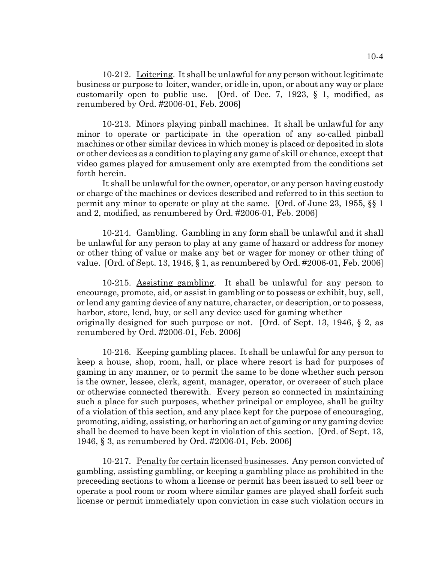10-212. Loitering. It shall be unlawful for any person without legitimate business or purpose to loiter, wander, or idle in, upon, or about any way or place customarily open to public use. [Ord. of Dec. 7, 1923, § 1, modified, as renumbered by Ord. #2006-01, Feb. 2006]

10-213. Minors playing pinball machines. It shall be unlawful for any minor to operate or participate in the operation of any so-called pinball machines or other similar devices in which money is placed or deposited in slots or other devices as a condition to playing any game of skill or chance, except that video games played for amusement only are exempted from the conditions set forth herein.

It shall be unlawful for the owner, operator, or any person having custody or charge of the machines or devices described and referred to in this section to permit any minor to operate or play at the same. [Ord. of June 23, 1955, §§ 1 and 2, modified, as renumbered by Ord. #2006-01, Feb. 2006]

10-214. Gambling. Gambling in any form shall be unlawful and it shall be unlawful for any person to play at any game of hazard or address for money or other thing of value or make any bet or wager for money or other thing of value. [Ord. of Sept. 13, 1946, § 1, as renumbered by Ord. #2006-01, Feb. 2006]

10-215. Assisting gambling. It shall be unlawful for any person to encourage, promote, aid, or assist in gambling or to possess or exhibit, buy, sell, or lend any gaming device of any nature, character, or description, or to possess, harbor, store, lend, buy, or sell any device used for gaming whether originally designed for such purpose or not. [Ord. of Sept. 13, 1946, § 2, as renumbered by Ord. #2006-01, Feb. 2006]

10-216. Keeping gambling places. It shall be unlawful for any person to keep a house, shop, room, hall, or place where resort is had for purposes of gaming in any manner, or to permit the same to be done whether such person is the owner, lessee, clerk, agent, manager, operator, or overseer of such place or otherwise connected therewith. Every person so connected in maintaining such a place for such purposes, whether principal or employee, shall be guilty of a violation of this section, and any place kept for the purpose of encouraging, promoting, aiding, assisting, or harboring an act of gaming or any gaming device shall be deemed to have been kept in violation of this section. [Ord. of Sept. 13, 1946, § 3, as renumbered by Ord. #2006-01, Feb. 2006]

10-217. Penalty for certain licensed businesses. Any person convicted of gambling, assisting gambling, or keeping a gambling place as prohibited in the preceeding sections to whom a license or permit has been issued to sell beer or operate a pool room or room where similar games are played shall forfeit such license or permit immediately upon conviction in case such violation occurs in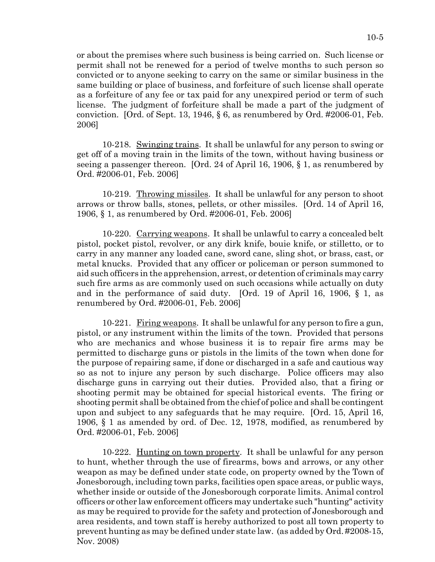or about the premises where such business is being carried on. Such license or permit shall not be renewed for a period of twelve months to such person so convicted or to anyone seeking to carry on the same or similar business in the same building or place of business, and forfeiture of such license shall operate as a forfeiture of any fee or tax paid for any unexpired period or term of such license. The judgment of forfeiture shall be made a part of the judgment of conviction. [Ord. of Sept. 13, 1946, § 6, as renumbered by Ord. #2006-01, Feb. 2006]

10-218. Swinging trains. It shall be unlawful for any person to swing or get off of a moving train in the limits of the town, without having business or seeing a passenger thereon. [Ord. 24 of April 16, 1906, § 1, as renumbered by Ord. #2006-01, Feb. 2006]

10-219. Throwing missiles. It shall be unlawful for any person to shoot arrows or throw balls, stones, pellets, or other missiles. [Ord. 14 of April 16, 1906, § 1, as renumbered by Ord. #2006-01, Feb. 2006]

10-220. Carrying weapons. It shall be unlawful to carry a concealed belt pistol, pocket pistol, revolver, or any dirk knife, bouie knife, or stilletto, or to carry in any manner any loaded cane, sword cane, sling shot, or brass, cast, or metal knucks. Provided that any officer or policeman or person summoned to aid such officers in the apprehension, arrest, or detention of criminals may carry such fire arms as are commonly used on such occasions while actually on duty and in the performance of said duty. [Ord. 19 of April 16, 1906, § 1, as renumbered by Ord. #2006-01, Feb. 2006]

10-221. Firing weapons. It shall be unlawful for any person to fire a gun, pistol, or any instrument within the limits of the town. Provided that persons who are mechanics and whose business it is to repair fire arms may be permitted to discharge guns or pistols in the limits of the town when done for the purpose of repairing same, if done or discharged in a safe and cautious way so as not to injure any person by such discharge. Police officers may also discharge guns in carrying out their duties. Provided also, that a firing or shooting permit may be obtained for special historical events. The firing or shooting permit shall be obtained from the chief of police and shall be contingent upon and subject to any safeguards that he may require. [Ord. 15, April 16, 1906, § 1 as amended by ord. of Dec. 12, 1978, modified, as renumbered by Ord. #2006-01, Feb. 2006]

10-222. Hunting on town property. It shall be unlawful for any person to hunt, whether through the use of firearms, bows and arrows, or any other weapon as may be defined under state code, on property owned by the Town of Jonesborough, including town parks, facilities open space areas, or public ways, whether inside or outside of the Jonesborough corporate limits. Animal control officers or other law enforcement officers may undertake such "hunting" activity as may be required to provide for the safety and protection of Jonesborough and area residents, and town staff is hereby authorized to post all town property to prevent hunting as may be defined under state law. (as added by Ord. #2008-15, Nov. 2008)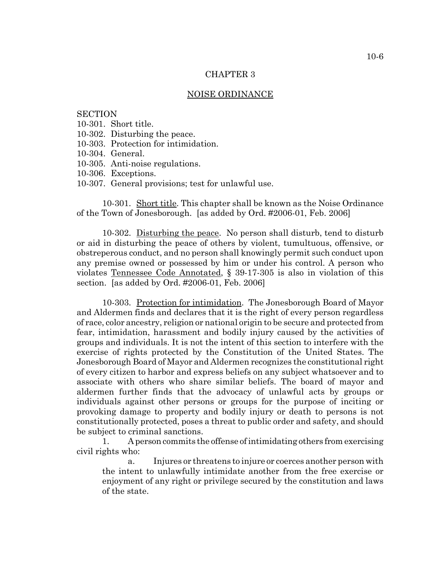## CHAPTER 3

#### NOISE ORDINANCE

# **SECTION**

- 10-301. Short title.
- 10-302. Disturbing the peace.
- 10-303. Protection for intimidation.
- 10-304. General.
- 10-305. Anti-noise regulations.
- 10-306. Exceptions.
- 10-307. General provisions; test for unlawful use.

10-301. Short title. This chapter shall be known as the Noise Ordinance of the Town of Jonesborough. [as added by Ord. #2006-01, Feb. 2006]

10-302. Disturbing the peace. No person shall disturb, tend to disturb or aid in disturbing the peace of others by violent, tumultuous, offensive, or obstreperous conduct, and no person shall knowingly permit such conduct upon any premise owned or possessed by him or under his control. A person who violates Tennessee Code Annotated, § 39-17-305 is also in violation of this section. [as added by Ord. #2006-01, Feb. 2006]

10-303. Protection for intimidation. The Jonesborough Board of Mayor and Aldermen finds and declares that it is the right of every person regardless of race, color ancestry, religion or national origin to be secure and protected from fear, intimidation, harassment and bodily injury caused by the activities of groups and individuals. It is not the intent of this section to interfere with the exercise of rights protected by the Constitution of the United States. The Jonesborough Board of Mayor and Aldermen recognizes the constitutional right of every citizen to harbor and express beliefs on any subject whatsoever and to associate with others who share similar beliefs. The board of mayor and aldermen further finds that the advocacy of unlawful acts by groups or individuals against other persons or groups for the purpose of inciting or provoking damage to property and bodily injury or death to persons is not constitutionally protected, poses a threat to public order and safety, and should be subject to criminal sanctions.

1. A person commits the offense of intimidating others from exercising civil rights who:

a. Injures or threatens to injure or coerces another person with the intent to unlawfully intimidate another from the free exercise or enjoyment of any right or privilege secured by the constitution and laws of the state.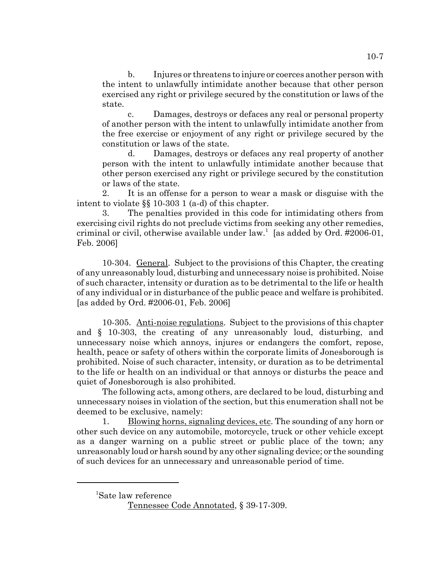b. Injures or threatens to injure or coerces another person with the intent to unlawfully intimidate another because that other person exercised any right or privilege secured by the constitution or laws of the state.

c. Damages, destroys or defaces any real or personal property of another person with the intent to unlawfully intimidate another from the free exercise or enjoyment of any right or privilege secured by the constitution or laws of the state.

d. Damages, destroys or defaces any real property of another person with the intent to unlawfully intimidate another because that other person exercised any right or privilege secured by the constitution or laws of the state.

2. It is an offense for a person to wear a mask or disguise with the intent to violate §§ 10-303 1 (a-d) of this chapter.

3. The penalties provided in this code for intimidating others from exercising civil rights do not preclude victims from seeking any other remedies, criminal or civil, otherwise available under law.<sup>1</sup> [as added by Ord.  $\#2006-01$ , Feb. 2006]

10-304. General. Subject to the provisions of this Chapter, the creating of any unreasonably loud, disturbing and unnecessary noise is prohibited. Noise of such character, intensity or duration as to be detrimental to the life or health of any individual or in disturbance of the public peace and welfare is prohibited. [as added by Ord. #2006-01, Feb. 2006]

10-305. Anti-noise regulations. Subject to the provisions of this chapter and § 10-303, the creating of any unreasonably loud, disturbing, and unnecessary noise which annoys, injures or endangers the comfort, repose, health, peace or safety of others within the corporate limits of Jonesborough is prohibited. Noise of such character, intensity, or duration as to be detrimental to the life or health on an individual or that annoys or disturbs the peace and quiet of Jonesborough is also prohibited.

The following acts, among others, are declared to be loud, disturbing and unnecessary noises in violation of the section, but this enumeration shall not be deemed to be exclusive, namely:

1. Blowing horns, signaling devices, etc. The sounding of any horn or other such device on any automobile, motorcycle, truck or other vehicle except as a danger warning on a public street or public place of the town; any unreasonably loud or harsh sound by any other signaling device; or the sounding of such devices for an unnecessary and unreasonable period of time.

<sup>1</sup> Sate law reference

Tennessee Code Annotated, § 39-17-309.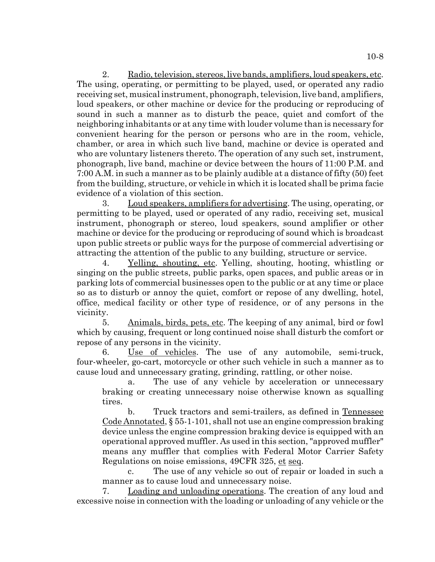2. Radio, television, stereos, live bands, amplifiers, loud speakers, etc. The using, operating, or permitting to be played, used, or operated any radio receiving set, musical instrument, phonograph, television, live band, amplifiers, loud speakers, or other machine or device for the producing or reproducing of sound in such a manner as to disturb the peace, quiet and comfort of the neighboring inhabitants or at any time with louder volume than is necessary for convenient hearing for the person or persons who are in the room, vehicle, chamber, or area in which such live band, machine or device is operated and who are voluntary listeners thereto. The operation of any such set, instrument, phonograph, live band, machine or device between the hours of 11:00 P.M. and 7:00 A.M. in such a manner as to be plainly audible at a distance of fifty (50) feet from the building, structure, or vehicle in which it is located shall be prima facie evidence of a violation of this section.

3. Loud speakers, amplifiers for advertising. The using, operating, or permitting to be played, used or operated of any radio, receiving set, musical instrument, phonograph or stereo, loud speakers, sound amplifier or other machine or device for the producing or reproducing of sound which is broadcast upon public streets or public ways for the purpose of commercial advertising or attracting the attention of the public to any building, structure or service.

4. Yelling, shouting, etc. Yelling, shouting, hooting, whistling or singing on the public streets, public parks, open spaces, and public areas or in parking lots of commercial businesses open to the public or at any time or place so as to disturb or annoy the quiet, comfort or repose of any dwelling, hotel, office, medical facility or other type of residence, or of any persons in the vicinity.

5. Animals, birds, pets, etc. The keeping of any animal, bird or fowl which by causing, frequent or long continued noise shall disturb the comfort or repose of any persons in the vicinity.

6. Use of vehicles. The use of any automobile, semi-truck, four-wheeler, go-cart, motorcycle or other such vehicle in such a manner as to cause loud and unnecessary grating, grinding, rattling, or other noise.

a. The use of any vehicle by acceleration or unnecessary braking or creating unnecessary noise otherwise known as squalling tires.

b. Truck tractors and semi-trailers, as defined in Tennessee Code Annotated, § 55-1-101, shall not use an engine compression braking device unless the engine compression braking device is equipped with an operational approved muffler. As used in this section, "approved muffler" means any muffler that complies with Federal Motor Carrier Safety Regulations on noise emissions, 49CFR 325, et seq.

c. The use of any vehicle so out of repair or loaded in such a manner as to cause loud and unnecessary noise.

7. Loading and unloading operations. The creation of any loud and excessive noise in connection with the loading or unloading of any vehicle or the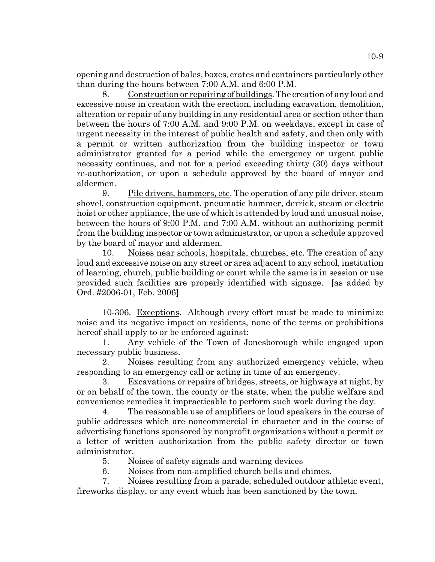opening and destruction of bales, boxes, crates and containers particularly other than during the hours between 7:00 A.M. and 6:00 P.M.

8. Construction or repairing of buildings. The creation of any loud and excessive noise in creation with the erection, including excavation, demolition, alteration or repair of any building in any residential area or section other than between the hours of 7:00 A.M. and 9:00 P.M. on weekdays, except in case of urgent necessity in the interest of public health and safety, and then only with a permit or written authorization from the building inspector or town administrator granted for a period while the emergency or urgent public necessity continues, and not for a period exceeding thirty (30) days without re-authorization, or upon a schedule approved by the board of mayor and aldermen.

9. Pile drivers, hammers, etc. The operation of any pile driver, steam shovel, construction equipment, pneumatic hammer, derrick, steam or electric hoist or other appliance, the use of which is attended by loud and unusual noise, between the hours of 9:00 P.M. and 7:00 A.M. without an authorizing permit from the building inspector or town administrator, or upon a schedule approved by the board of mayor and aldermen.

10. Noises near schools, hospitals, churches, etc. The creation of any loud and excessive noise on any street or area adjacent to any school, institution of learning, church, public building or court while the same is in session or use provided such facilities are properly identified with signage. [as added by Ord. #2006-01, Feb. 2006]

10-306. Exceptions. Although every effort must be made to minimize noise and its negative impact on residents, none of the terms or prohibitions hereof shall apply to or be enforced against:

1. Any vehicle of the Town of Jonesborough while engaged upon necessary public business.

2. Noises resulting from any authorized emergency vehicle, when responding to an emergency call or acting in time of an emergency.

Excavations or repairs of bridges, streets, or highways at night, by or on behalf of the town, the county or the state, when the public welfare and convenience remedies it impracticable to perform such work during the day.

4. The reasonable use of amplifiers or loud speakers in the course of public addresses which are noncommercial in character and in the course of advertising functions sponsored by nonprofit organizations without a permit or a letter of written authorization from the public safety director or town administrator.

5. Noises of safety signals and warning devices

6. Noises from non-amplified church bells and chimes.

7. Noises resulting from a parade, scheduled outdoor athletic event, fireworks display, or any event which has been sanctioned by the town.